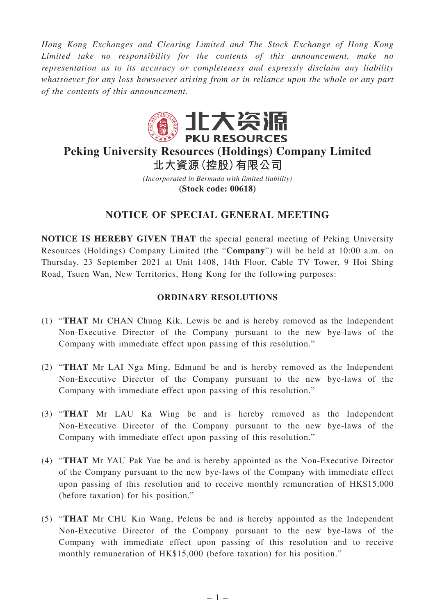*Hong Kong Exchanges and Clearing Limited and The Stock Exchange of Hong Kong Limited take no responsibility for the contents of this announcement, make no representation as to its accuracy or completeness and expressly disclaim any liability whatsoever for any loss howsoever arising from or in reliance upon the whole or any part of the contents of this announcement.*



## **Peking University Resources (Holdings) Company Limited 北大資源(控股)有限公司**

*(Incorporated in Bermuda with limited liability)* **(Stock code: 00618)**

## **NOTICE OF SPECIAL GENERAL MEETING**

**NOTICE IS HEREBY GIVEN THAT** the special general meeting of Peking University Resources (Holdings) Company Limited (the "**Company**") will be held at 10:00 a.m. on Thursday, 23 September 2021 at Unit 1408, 14th Floor, Cable TV Tower, 9 Hoi Shing Road, Tsuen Wan, New Territories, Hong Kong for the following purposes:

## **ORDINARY RESOLUTIONS**

- (1) "**THAT** Mr CHAN Chung Kik, Lewis be and is hereby removed as the Independent Non-Executive Director of the Company pursuant to the new bye-laws of the Company with immediate effect upon passing of this resolution."
- (2) "**THAT** Mr LAI Nga Ming, Edmund be and is hereby removed as the Independent Non-Executive Director of the Company pursuant to the new bye-laws of the Company with immediate effect upon passing of this resolution."
- (3) "**THAT** Mr LAU Ka Wing be and is hereby removed as the Independent Non-Executive Director of the Company pursuant to the new bye-laws of the Company with immediate effect upon passing of this resolution."
- (4) "**THAT** Mr YAU Pak Yue be and is hereby appointed as the Non-Executive Director of the Company pursuant to the new bye-laws of the Company with immediate effect upon passing of this resolution and to receive monthly remuneration of HK\$15,000 (before taxation) for his position."
- (5) "**THAT** Mr CHU Kin Wang, Peleus be and is hereby appointed as the Independent Non-Executive Director of the Company pursuant to the new bye-laws of the Company with immediate effect upon passing of this resolution and to receive monthly remuneration of HK\$15,000 (before taxation) for his position."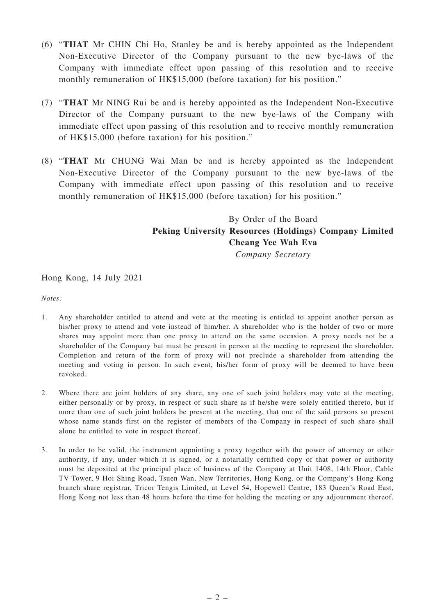- (6) "**THAT** Mr CHIN Chi Ho, Stanley be and is hereby appointed as the Independent Non-Executive Director of the Company pursuant to the new bye-laws of the Company with immediate effect upon passing of this resolution and to receive monthly remuneration of HK\$15,000 (before taxation) for his position."
- (7) "**THAT** Mr NING Rui be and is hereby appointed as the Independent Non-Executive Director of the Company pursuant to the new bye-laws of the Company with immediate effect upon passing of this resolution and to receive monthly remuneration of HK\$15,000 (before taxation) for his position."
- (8) "**THAT** Mr CHUNG Wai Man be and is hereby appointed as the Independent Non-Executive Director of the Company pursuant to the new bye-laws of the Company with immediate effect upon passing of this resolution and to receive monthly remuneration of HK\$15,000 (before taxation) for his position."

## By Order of the Board **Peking University Resources (Holdings) Company Limited Cheang Yee Wah Eva**

*Company Secretary*

Hong Kong, 14 July 2021

*Notes:*

- 1. Any shareholder entitled to attend and vote at the meeting is entitled to appoint another person as his/her proxy to attend and vote instead of him/her. A shareholder who is the holder of two or more shares may appoint more than one proxy to attend on the same occasion. A proxy needs not be a shareholder of the Company but must be present in person at the meeting to represent the shareholder. Completion and return of the form of proxy will not preclude a shareholder from attending the meeting and voting in person. In such event, his/her form of proxy will be deemed to have been revoked.
- 2. Where there are joint holders of any share, any one of such joint holders may vote at the meeting, either personally or by proxy, in respect of such share as if he/she were solely entitled thereto, but if more than one of such joint holders be present at the meeting, that one of the said persons so present whose name stands first on the register of members of the Company in respect of such share shall alone be entitled to vote in respect thereof.
- 3. In order to be valid, the instrument appointing a proxy together with the power of attorney or other authority, if any, under which it is signed, or a notarially certified copy of that power or authority must be deposited at the principal place of business of the Company at Unit 1408, 14th Floor, Cable TV Tower, 9 Hoi Shing Road, Tsuen Wan, New Territories, Hong Kong, or the Company's Hong Kong branch share registrar, Tricor Tengis Limited, at Level 54, Hopewell Centre, 183 Queen's Road East, Hong Kong not less than 48 hours before the time for holding the meeting or any adjournment thereof.